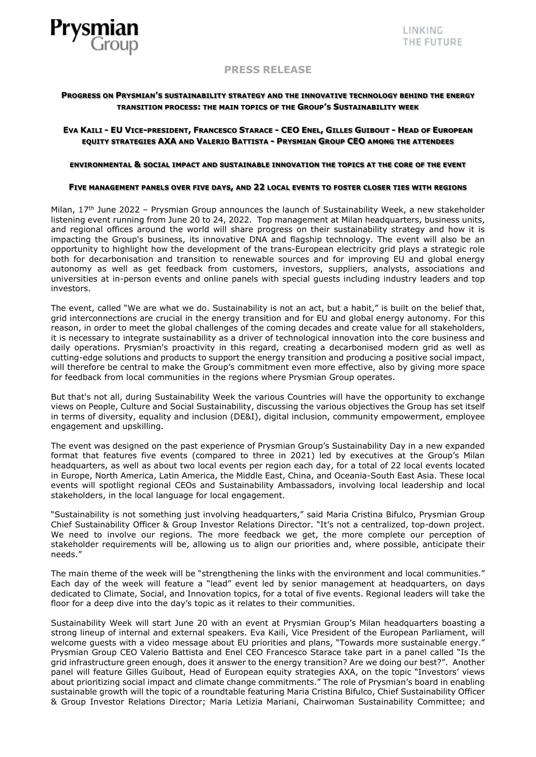

# **PRESS RELEASE**

# **PROGRESS ON PRYSMIAN'S SUSTAINABILITY STRATEGY AND THE INNOVATIVE TECHNOLOGY BEHIND THE ENERGY TRANSITION PROCESS: THE MAIN TOPICS OF THE GROUP'S SUSTAINABILITY WEEK**

# EVA KAILI - EU VICE-PRESIDENT, FRANCESCO STARACE - CEO ENEL, GILLES GUIBOUT - HEAD OF EUROPEAN **EQUITY STRATEGIES AXA AND VALERIO BATTISTA - PRYSMIAN GROUP CEO AMONG THE ATTENDEES**

### **ENVIRONMENTAL & SOCIAL IMPACT AND SUSTAINABLE INNOVATION THE TOPICS AT THE CORE OF THE EVENT**

### **FIVE MANAGEMENT PANELS OVER FIVE DAYS, AND 22 LOCAL EVENTS TO FOSTER CLOSER TIES WITH REGIONS**

Milan, 17<sup>th</sup> June 2022 - Prysmian Group announces the launch of Sustainability Week, a new stakeholder listening event running from June 20 to 24, 2022. Top management at Milan headquarters, business units, and regional offices around the world will share progress on their sustainability strategy and how it is impacting the Group's business, its innovative DNA and flagship technology. The event will also be an opportunity to highlight how the development of the trans-European electricity grid plays a strategic role both for decarbonisation and transition to renewable sources and for improving EU and global energy autonomy as well as get feedback from customers, investors, suppliers, analysts, associations and universities at in-person events and online panels with special guests including industry leaders and top investors.

The event, called "We are what we do. Sustainability is not an act, but a habit," is built on the belief that, grid interconnections are crucial in the energy transition and for EU and global energy autonomy. For this reason, in order to meet the global challenges of the coming decades and create value for all stakeholders, it is necessary to integrate sustainability as a driver of technological innovation into the core business and daily operations. Prysmian's proactivity in this regard, creating a decarbonised modern grid as well as cutting-edge solutions and products to support the energy transition and producing a positive social impact, will therefore be central to make the Group's commitment even more effective, also by giving more space for feedback from local communities in the regions where Prysmian Group operates.

But that's not all, during Sustainability Week the various Countries will have the opportunity to exchange views on People, Culture and Social Sustainability, discussing the various objectives the Group has set itself in terms of diversity, equality and inclusion (DE&I), digital inclusion, community empowerment, employee engagement and upskilling.

The event was designed on the past experience of Prysmian Group's Sustainability Day in a new expanded format that features five events (compared to three in 2021) led by executives at the Group's Milan headquarters, as well as about two local events per region each day, for a total of 22 local events located in Europe, North America, Latin America, the Middle East, China, and Oceania-South East Asia. These local events will spotlight regional CEOs and Sustainability Ambassadors, involving local leadership and local stakeholders, in the local language for local engagement.

"Sustainability is not something just involving headquarters," said Maria Cristina Bifulco, Prysmian Group Chief Sustainability Officer & Group Investor Relations Director. "It's not a centralized, top-down project. We need to involve our regions. The more feedback we get, the more complete our perception of stakeholder requirements will be, allowing us to align our priorities and, where possible, anticipate their needs."

The main theme of the week will be "strengthening the links with the environment and local communities." Each day of the week will feature a "lead" event led by senior management at headquarters, on days dedicated to Climate, Social, and Innovation topics, for a total of five events. Regional leaders will take the floor for a deep dive into the day's topic as it relates to their communities.

Sustainability Week will start June 20 with an event at Prysmian Group's Milan headquarters boasting a strong lineup of internal and external speakers. Eva Kaili, Vice President of the European Parliament, will welcome guests with a video message about EU priorities and plans, "Towards more sustainable energy." Prysmian Group CEO Valerio Battista and Enel CEO Francesco Starace take part in a panel called "Is the grid infrastructure green enough, does it answer to the energy transition? Are we doing our best?". Another panel will feature Gilles Guibout, Head of European equity strategies AXA, on the topic "Investors' views about prioritizing social impact and climate change commitments." The role of Prysmian's board in enabling sustainable growth will the topic of a roundtable featuring Maria Cristina Bifulco, Chief Sustainability Officer & Group Investor Relations Director; Maria Letizia Mariani, Chairwoman Sustainability Committee; and